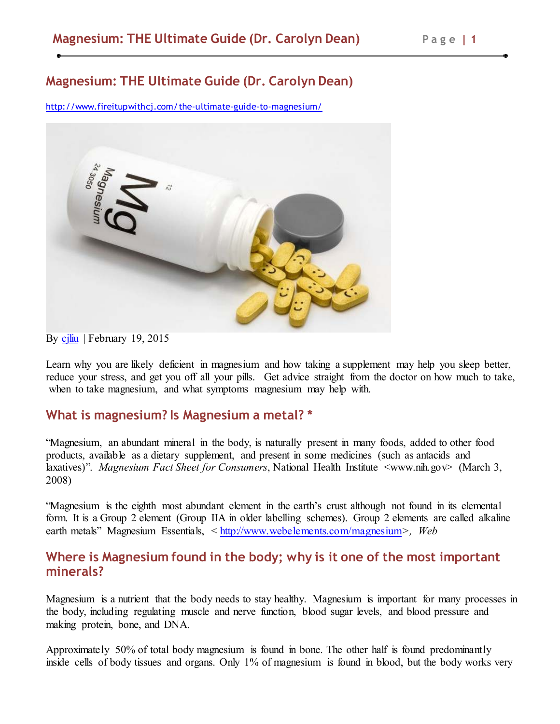# **Magnesium: THE Ultimate Guide (Dr. Carolyn Dean)**

http://www.fireitupwithcj.com/the-ultimate-guide-to-magnesium/



By cjliu | February 19, 2015

Learn why you are likely deficient in magnesium and how taking a supplement may help you sleep better, reduce your stress, and get you off all your pills. Get advice straight from the doctor on how much to take, when to take magnesium, and what symptoms magnesium may help with.

### **What is magnesium? Is Magnesium a metal? \***

"Magnesium, an abundant mineral in the body, is naturally present in many foods, added to other food products, available as a dietary supplement, and present in some medicines (such as antacids and laxatives)". *Magnesium Fact Sheet for Consumers*, National Health Institute <www.nih.gov> (March 3, 2008)

"Magnesium is the eighth most abundant element in the earth's crust although not found in its elemental form. It is a Group 2 element (Group IIA in older labelling schemes). Group 2 elements are called alkaline earth metals" Magnesium Essentials, < http://www.webelements.com/magnesium*>, Web*

### **Where is Magnesium found in the body; why is it one of the most important minerals?**

Magnesium is a nutrient that the body needs to stay healthy. Magnesium is important for many processes in the body, including regulating muscle and nerve function, blood sugar levels, and blood pressure and making protein, bone, and DNA.

Approximately 50% of total body magnesium is found in bone. The other half is found predominantly inside cells of body tissues and organs. Only 1% of magnesium is found in blood, but the body works very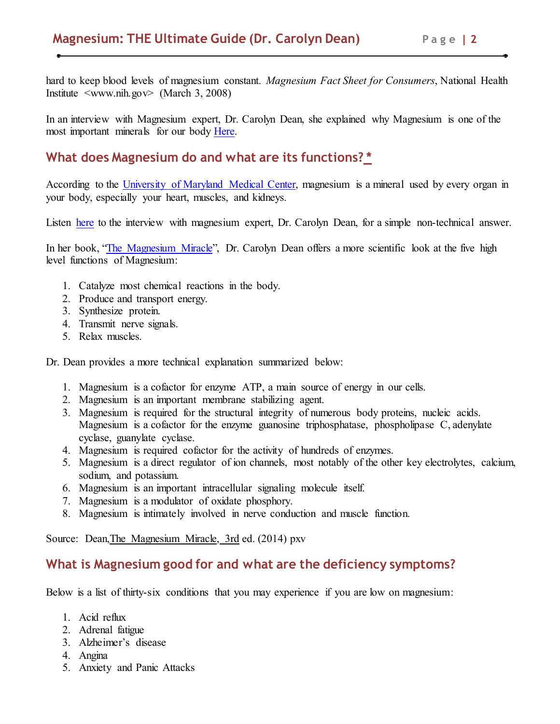hard to keep blood levels of magnesium constant. *Magnesium Fact Sheet for Consumers*, National Health Institute  $\langle$ www.nih.gov $>$  (March 3, 2008)

In an interview with Magnesium expert, Dr. Carolyn Dean, she explained why Magnesium is one of the most important minerals for our body Here.

# **What does Magnesium do and what are its functions? \***

According to the University of Maryland Medical Center, magnesium is a mineral used by every organ in your body, especially your heart, muscles, and kidneys.

Listen here to the interview with magnesium expert, Dr. Carolyn Dean, for a simple non-technical answer.

In her book, "The Magnesium Miracle", Dr. Carolyn Dean offers a more scientific look at the five high level functions of Magnesium:

- 1. Catalyze most chemical reactions in the body.
- 2. Produce and transport energy.
- 3. Synthesize protein.
- 4. Transmit nerve signals.
- 5. Relax muscles.

Dr. Dean provides a more technical explanation summarized below:

- 1. Magnesium is a cofactor for enzyme ATP, a main source of energy in our cells.
- 2. Magnesium is an important membrane stabilizing agent.
- 3. Magnesium is required for the structural integrity of numerous body proteins, nucleic acids. Magnesium is a cofactor for the enzyme guanosine triphosphatase, phospholipase C, adenylate cyclase, guanylate cyclase.
- 4. Magnesium is required cofactor for the activity of hundreds of enzymes.
- 5. Magnesium is a direct regulator of ion channels, most notably of the other key electrolytes, calcium, sodium, and potassium.
- 6. Magnesium is an important intracellular signaling molecule itself.
- 7. Magnesium is a modulator of oxidate phosphory.
- 8. Magnesium is intimately involved in nerve conduction and muscle function.

Source: Dean,The Magnesium Miracle, 3rd ed. (2014) pxv

## **What is Magnesium good for and what are the deficiency symptoms?**

Below is a list of thirty-six conditions that you may experience if you are low on magnesium:

- 1. Acid reflux
- 2. Adrenal fatigue
- 3. Alzheimer's disease
- 4. Angina
- 5. Anxiety and Panic Attacks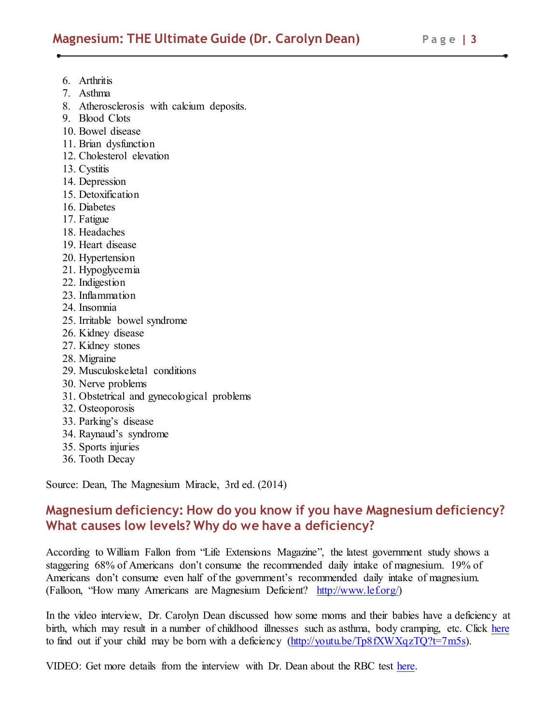- 6. Arthritis
- 7. Asthma
- 8. Atherosclerosis with calcium deposits.
- 9. Blood Clots
- 10. Bowel disease
- 11. Brian dysfunction
- 12. Cholesterol elevation
- 13. Cystitis
- 14. Depression
- 15. Detoxification
- 16. Diabetes
- 17. Fatigue
- 18. Headaches
- 19. Heart disease
- 20. Hypertension
- 21. Hypoglycemia
- 22. Indigestion
- 23. Inflammation
- 24. Insomnia
- 25. Irritable bowel syndrome
- 26. Kidney disease
- 27. Kidney stones
- 28. Migraine
- 29. Musculoskeletal conditions
- 30. Nerve problems
- 31. Obstetrical and gynecological problems
- 32. Osteoporosis
- 33. Parking's disease
- 34. Raynaud's syndrome
- 35. Sports injuries
- 36. Tooth Decay

Source: Dean, The Magnesium Miracle, 3rd ed. (2014)

# **Magnesium deficiency: How do you know if you have Magnesium deficiency? What causes low levels? Why do we have a deficiency?**

According to William Fallon from "Life Extensions Magazine", the latest government study shows a staggering 68% of Americans don't consume the recommended daily intake of magnesium. 19% of Americans don't consume even half of the government's recommended daily intake of magnesium. (Falloon, "How many Americans are Magnesium Deficient? http://www.lef.org/)

In the video interview, Dr. Carolyn Dean discussed how some moms and their babies have a deficiency at birth, which may result in a number of childhood illnesses such as asthma, body cramping, etc. Click here to find out if your child may be born with a deficiency  $(http//youtu.be/Tp8fXWXqzTQ?t=7m5s)$ .

VIDEO: Get more details from the interview with Dr. Dean about the RBC test here.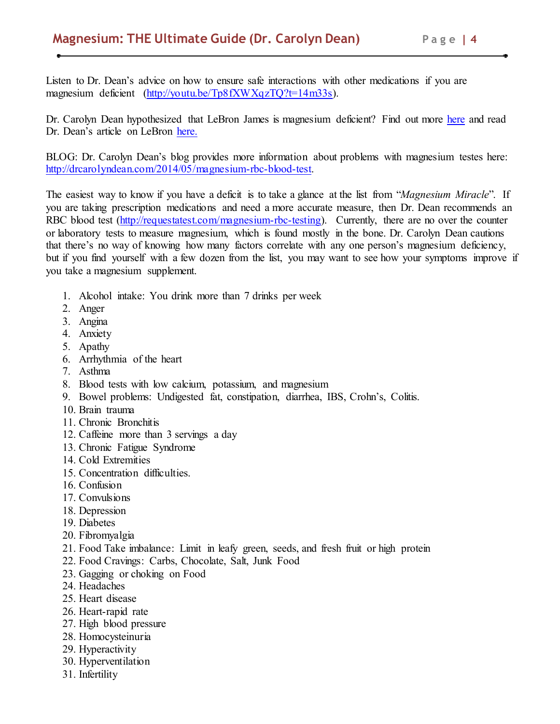Listen to Dr. Dean's advice on how to ensure safe interactions with other medications if you are magnesium deficient (http://youtu.be/Tp8fXWXqzTQ?t=14m33s).

Dr. Carolyn Dean hypothesized that LeBron James is magnesium deficient? Find out more here and read Dr. Dean's article on LeBron here.

BLOG: Dr. Carolyn Dean's blog provides more information about problems with magnesium testes here: http://drcarolyndean.com/2014/05/magnesium-rbc-blood-test.

The easiest way to know if you have a deficit is to take a glance at the list from "*Magnesium Miracle*". If you are taking prescription medications and need a more accurate measure, then Dr. Dean recommends an RBC blood test (http://requestatest.com/magnesium-rbc-testing). Currently, there are no over the counter or laboratory tests to measure magnesium, which is found mostly in the bone. Dr. Carolyn Dean cautions that there's no way of knowing how many factors correlate with any one person's magnesium deficiency, but if you find yourself with a few dozen from the list, you may want to see how your symptoms improve if you take a magnesium supplement.

- 1. Alcohol intake: You drink more than 7 drinks per week
- 2. Anger
- 3. Angina
- 4. Anxiety
- 5. Apathy
- 6. Arrhythmia of the heart
- 7. Asthma
- 8. Blood tests with low calcium, potassium, and magnesium
- 9. Bowel problems: Undigested fat, constipation, diarrhea, IBS, Crohn's, Colitis.
- 10. Brain trauma
- 11. Chronic Bronchitis
- 12. Caffeine more than 3 servings a day
- 13. Chronic Fatigue Syndrome
- 14. Cold Extremities
- 15. Concentration difficulties.
- 16. Confusion
- 17. Convulsions
- 18. Depression
- 19. Diabetes
- 20. Fibromyalgia
- 21. Food Take imbalance: Limit in leafy green, seeds, and fresh fruit or high protein
- 22. Food Cravings: Carbs, Chocolate, Salt, Junk Food
- 23. Gagging or choking on Food
- 24. Headaches
- 25. Heart disease
- 26. Heart-rapid rate
- 27. High blood pressure
- 28. Homocysteinuria
- 29. Hyperactivity
- 30. Hyperventilation
- 31. Infertility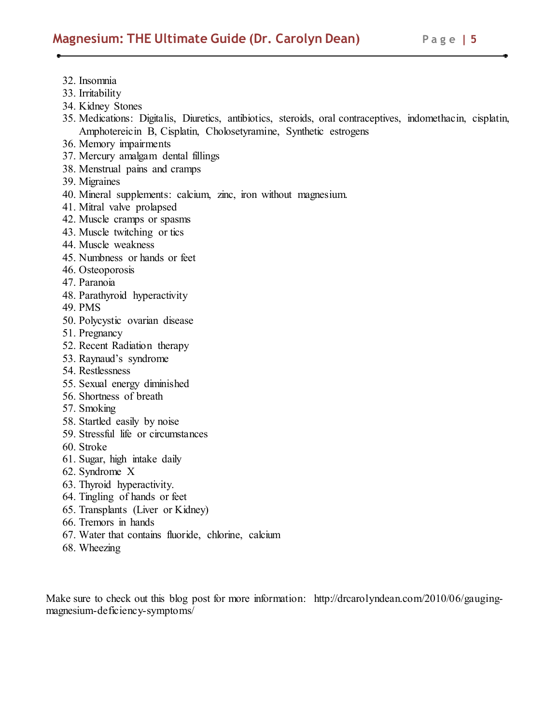- 32. Insomnia
- 33. Irritability
- 34. Kidney Stones
- 35. Medications: Digitalis, Diuretics, antibiotics, steroids, oral contraceptives, indomethacin, cisplatin, Amphotereicin B, Cisplatin, Cholosetyramine, Synthetic estrogens
- 36. Memory impairments
- 37. Mercury amalgam dental fillings
- 38. Menstrual pains and cramps
- 39. Migraines
- 40. Mineral supplements: calcium, zinc, iron without magnesium.
- 41. Mitral valve prolapsed
- 42. Muscle cramps or spasms
- 43. Muscle twitching or tics
- 44. Muscle weakness
- 45. Numbness or hands or feet
- 46. Osteoporosis
- 47. Paranoia
- 48. Parathyroid hyperactivity
- 49. PMS
- 50. Polycystic ovarian disease
- 51. Pregnancy
- 52. Recent Radiation therapy
- 53. Raynaud's syndrome
- 54. Restlessness
- 55. Sexual energy diminished
- 56. Shortness of breath
- 57. Smoking
- 58. Startled easily by noise
- 59. Stressful life or circumstances
- 60. Stroke
- 61. Sugar, high intake daily
- 62. Syndrome X
- 63. Thyroid hyperactivity.
- 64. Tingling of hands or feet
- 65. Transplants (Liver or Kidney)
- 66. Tremors in hands
- 67. Water that contains fluoride, chlorine, calcium
- 68. Wheezing

Make sure to check out this blog post for more information: http://drcarolyndean.com/2010/06/gaugingmagnesium-deficiency-symptoms/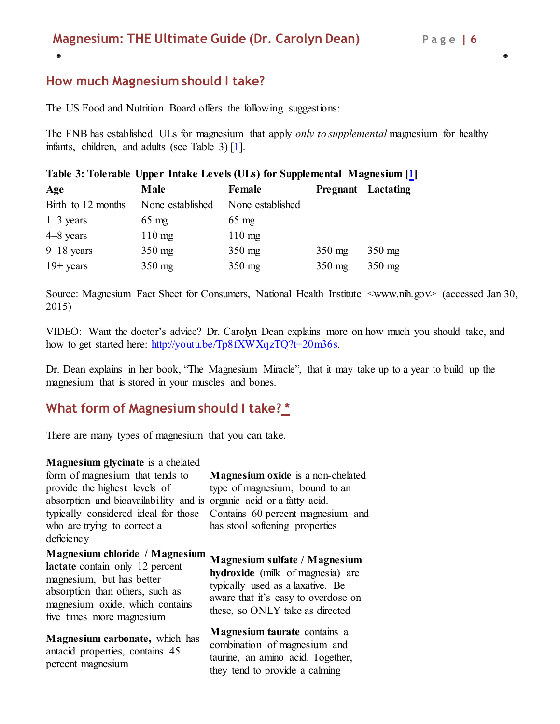### **How much Magnesium should I take?**

The US Food and Nutrition Board offers the following suggestions:

The FNB has established ULs for magnesium that apply *only to supplemental* magnesium for healthy infants, children, and adults (see Table 3) [1].

| Table 3: Tolerable Upper Intake Levels (ULs) for Supplemental Magnesium [1] |                  |                  |                           |          |  |  |
|-----------------------------------------------------------------------------|------------------|------------------|---------------------------|----------|--|--|
| Age                                                                         | Male             | Female           | <b>Pregnant</b> Lactating |          |  |  |
| Birth to 12 months                                                          | None established | None established |                           |          |  |  |
| $1-3$ years                                                                 | $65 \text{ mg}$  | $65 \text{ mg}$  |                           |          |  |  |
| $4-8$ years                                                                 | $110 \text{ mg}$ | $110 \text{ mg}$ |                           |          |  |  |
| $9-18$ years                                                                | $350 \text{ mg}$ | $350$ mg         | $350 \text{ mg}$          | $350$ mg |  |  |
| $19 + \text{years}$                                                         | $350$ mg         | $350$ mg         | $350$ mg                  | $350$ mg |  |  |

Source: Magnesium Fact Sheet for Consumers, National Health Institute <www.nih.gov> (accessed Jan 30, 2015)

VIDEO: Want the doctor's advice? Dr. Carolyn Dean explains more on how much you should take, and how to get started here: http://youtu.be/Tp8fXWXqzTQ?t=20m36s.

Dr. Dean explains in her book, "The Magnesium Miracle", that it may take up to a year to build up the magnesium that is stored in your muscles and bones.

# **What form of Magnesium should I take? \***

There are many types of magnesium that you can take.

**Magnesium glycinate** is a chelated form of magnesium that tends to provide the highest levels of absorption and bioavailability and is organic acid or a fatty acid. who are trying to correct a deficiency

typically considered ideal for those Contains 60 percent magnesium and **Magnesium oxide** is a non-chelated type of magnesium, bound to an has stool softening properties

**Magnesium chloride / Magnesium** 

**lactate** contain only 12 percent magnesium, but has better absorption than others, such as magnesium oxide, which contains five times more magnesium

**Magnesium carbonate,** which has antacid properties, contains 45 percent magnesium

**Magnesium sulfate / Magnesium hydroxide** (milk of magnesia) are typically used as a laxative. Be aware that it's easy to overdose on these, so ONLY take as directed

**Magnesium taurate** contains a combination of magnesium and taurine, an amino acid. Together, they tend to provide a calming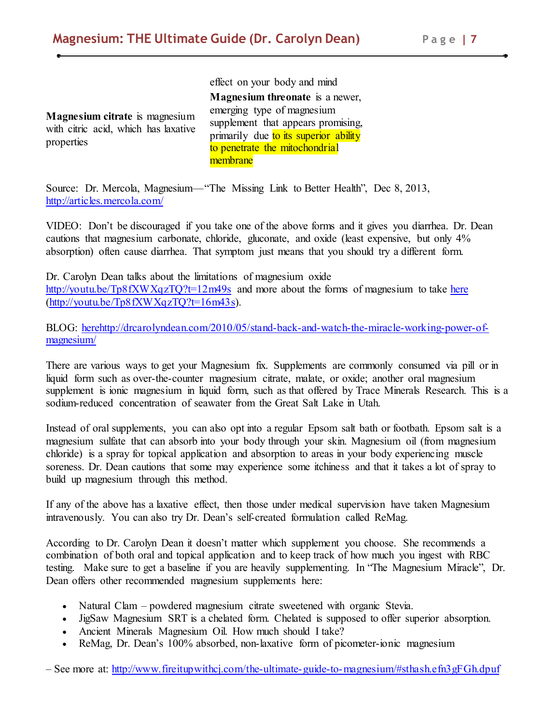**Magnesium citrate** is magnesium with citric acid, which has laxative properties

effect on your body and mind **Magnesium threonate** is a newer, emerging type of magnesium supplement that appears promising, primarily due to its superior ability to penetrate the mitochondrial membrane

Source: Dr. Mercola, Magnesium—"The Missing Link to Better Health", Dec 8, 2013, http://articles.mercola.com/

VIDEO: Don't be discouraged if you take one of the above forms and it gives you diarrhea. Dr. Dean cautions that magnesium carbonate, chloride, gluconate, and oxide (least expensive, but only 4% absorption) often cause diarrhea. That symptom just means that you should try a different form.

Dr. Carolyn Dean talks about the limitations of magnesium oxide http://youtu.be/Tp8fXWXqzTQ?t=12m49s and more about the forms of magnesium to take here (http://youtu.be/Tp8fXWXqzTQ?t=16m43s).

BLOG: herehttp://drcarolyndean.com/2010/05/stand-back-and-watch-the-miracle-working-power-ofmagnesium/

There are various ways to get your Magnesium fix. Supplements are commonly consumed via pill or in liquid form such as over-the-counter magnesium citrate, malate, or oxide; another oral magnesium supplement is ionic magnesium in liquid form, such as that offered by Trace Minerals Research. This is a sodium-reduced concentration of seawater from the Great Salt Lake in Utah.

Instead of oral supplements, you can also opt into a regular Epsom salt bath or footbath. Epsom salt is a magnesium sulfate that can absorb into your body through your skin. Magnesium oil (from magnesium chloride) is a spray for topical application and absorption to areas in your body experiencing muscle soreness. Dr. Dean cautions that some may experience some itchiness and that it takes a lot of spray to build up magnesium through this method.

If any of the above has a laxative effect, then those under medical supervision have taken Magnesium intravenously. You can also try Dr. Dean's self-created formulation called ReMag.

According to Dr. Carolyn Dean it doesn't matter which supplement you choose. She recommends a combination of both oral and topical application and to keep track of how much you ingest with RBC testing. Make sure to get a baseline if you are heavily supplementing. In "The Magnesium Miracle", Dr. Dean offers other recommended magnesium supplements here:

- Natural Clam powdered magnesium citrate sweetened with organic Stevia.
- JigSaw Magnesium SRT is a chelated form. Chelated is supposed to offer superior absorption.
- Ancient Minerals Magnesium Oil. How much should I take?
- ReMag, Dr. Dean's 100% absorbed, non-laxative form of picometer-ionic magnesium

– See more at: http://www.fireitupwithcj.com/the-ultimate-guide-to-magnesium/#sthash.efn3gFGh.dpuf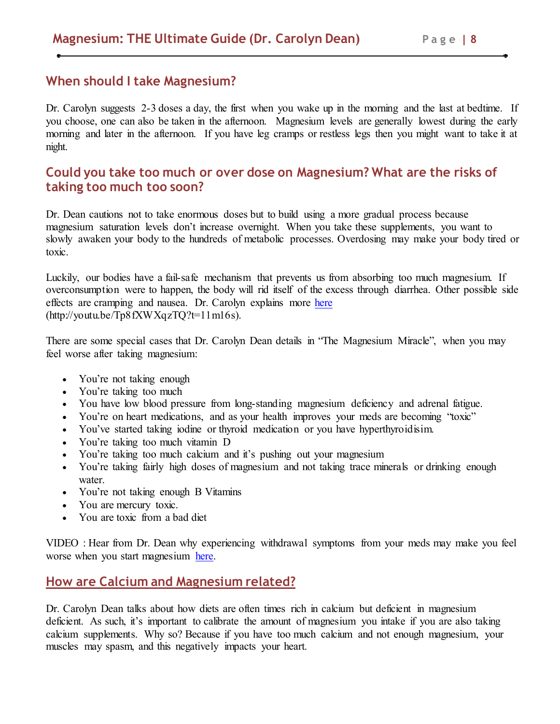### **When should I take Magnesium?**

Dr. Carolyn suggests 2-3 doses a day, the first when you wake up in the morning and the last at bedtime. If you choose, one can also be taken in the afternoon. Magnesium levels are generally lowest during the early morning and later in the afternoon. If you have leg cramps or restless legs then you might want to take it at night.

# **Could you take too much or over dose on Magnesium? What are the risks of taking too much too soon?**

Dr. Dean cautions not to take enormous doses but to build using a more gradual process because magnesium saturation levels don't increase overnight. When you take these supplements, you want to slowly awaken your body to the hundreds of metabolic processes. Overdosing may make your body tired or toxic.

Luckily, our bodies have a fail-safe mechanism that prevents us from absorbing too much magnesium. If overconsumption were to happen, the body will rid itself of the excess through diarrhea. Other possible side effects are cramping and nausea. Dr. Carolyn explains more here (http://youtu.be/Tp8fXWXqzTQ?t=11m16s).

There are some special cases that Dr. Carolyn Dean details in "The Magnesium Miracle", when you may feel worse after taking magnesium:

- You're not taking enough
- You're taking too much
- You have low blood pressure from long-standing magnesium deficiency and adrenal fatigue.
- You're on heart medications, and as your health improves your meds are becoming "toxic"
- You've started taking iodine or thyroid medication or you have hyperthyroidisim.
- You're taking too much vitamin D
- You're taking too much calcium and it's pushing out your magnesium
- You're taking fairly high doses of magnesium and not taking trace minerals or drinking enough water
- You're not taking enough B Vitamins
- You are mercury toxic.
- You are toxic from a bad diet

VIDEO : Hear from Dr. Dean why experiencing withdrawal symptoms from your meds may make you feel worse when you start magnesium here.

# **How are Calcium and Magnesium related?**

Dr. Carolyn Dean talks about how diets are often times rich in calcium but deficient in magnesium deficient. As such, it's important to calibrate the amount of magnesium you intake if you are also taking calcium supplements. Why so? Because if you have too much calcium and not enough magnesium, your muscles may spasm, and this negatively impacts your heart.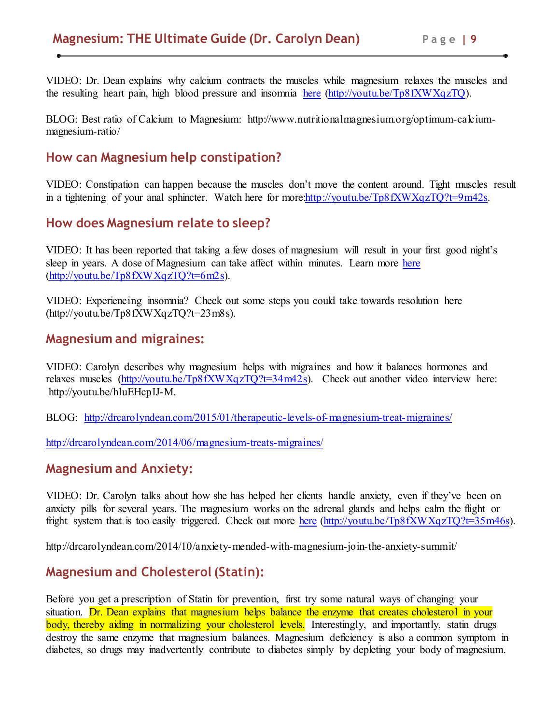VIDEO: Dr. Dean explains why calcium contracts the muscles while magnesium relaxes the muscles and the resulting heart pain, high blood pressure and insomnia here (http://youtu.be/Tp8fXWXqzTQ).

BLOG: Best ratio of Calcium to Magnesium: http://www.nutritionalmagnesium.org/optimum-calciummagnesium-ratio/

# **How can Magnesium help constipation?**

VIDEO: Constipation can happen because the muscles don't move the content around. Tight muscles result in a tightening of your anal sphincter. Watch here for more http://youtu.be/Tp8fXWXqzTO?t=9m42s.

## **How does Magnesium relate to sleep?**

VIDEO: It has been reported that taking a few doses of magnesium will result in your first good night's sleep in years. A dose of Magnesium can take affect within minutes. Learn more here (http://youtu.be/Tp8fXWXqzTQ?t=6m2s).

VIDEO: Experiencing insomnia? Check out some steps you could take towards resolution here (http://youtu.be/Tp8fXWXqzTQ?t=23m8s).

### **Magnesium and migraines:**

VIDEO: Carolyn describes why magnesium helps with migraines and how it balances hormones and relaxes muscles (http://youtu.be/Tp8fXWXqzTQ?t=34m42s). Check out another video interview here: http://youtu.be/hluEHcpIJ-M.

BLOG: http://drcarolyndean.com/2015/01/therapeutic-levels-of-magnesium-treat-migraines/

http://drcarolyndean.com/2014/06/magnesium-treats-migraines/

## **Magnesium and Anxiety:**

VIDEO: Dr. Carolyn talks about how she has helped her clients handle anxiety, even if they've been on anxiety pills for several years. The magnesium works on the adrenal glands and helps calm the flight or fright system that is too easily triggered. Check out more here (http://youtu.be/Tp8fXWXqzTQ?t=35m46s).

http://drcarolyndean.com/2014/10/anxiety-mended-with-magnesium-join-the-anxiety-summit/

# **Magnesium and Cholesterol (Statin):**

Before you get a prescription of Statin for prevention, first try some natural ways of changing your situation. Dr. Dean explains that magnesium helps balance the enzyme that creates cholesterol in your body, thereby aiding in normalizing your cholesterol levels. Interestingly, and importantly, statin drugs destroy the same enzyme that magnesium balances. Magnesium deficiency is also a common symptom in diabetes, so drugs may inadvertently contribute to diabetes simply by depleting your body of magnesium.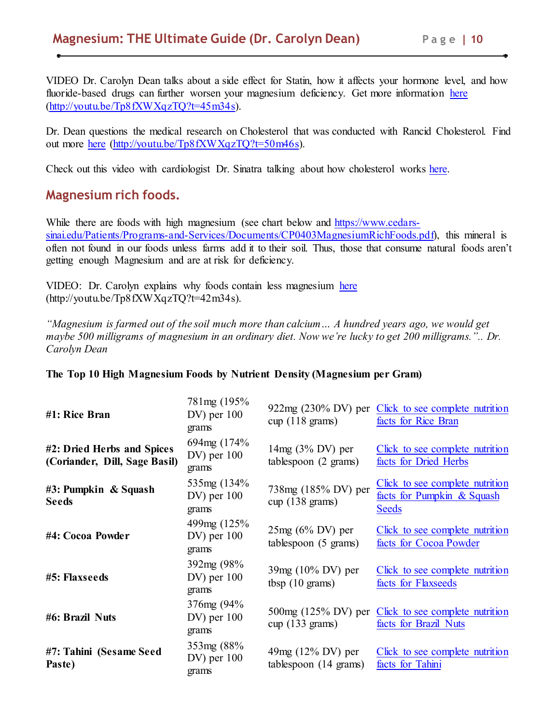VIDEO Dr. Carolyn Dean talks about a side effect for Statin, how it affects your hormone level, and how fluoride-based drugs can further worsen your magnesium deficiency. Get more information here (http://youtu.be/Tp8fXWXqzTQ?t=45m34s).

Dr. Dean questions the medical research on Cholesterol that was conducted with Rancid Cholesterol. Find out more here (http://youtu.be/Tp8fXWXqzTQ?t=50m46s).

Check out this video with cardiologist Dr. Sinatra talking about how cholesterol works here.

# **Magnesium rich foods.**

While there are foods with high magnesium (see chart below and https://www.cedarssinai.edu/Patients/Programs-and-Services/Documents/CP0403MagnesiumRichFoods.pdf), this mineral is often not found in our foods unless farms add it to their soil. Thus, those that consume natural foods aren't getting enough Magnesium and are at risk for deficiency.

VIDEO: Dr. Carolyn explains why foods contain less magnesium here (http://youtu.be/Tp8fXWXqzTQ?t=42m34s).

*"Magnesium is farmed out of the soil much more than calcium… A hundred years ago, we would get maybe 500 milligrams of magnesium in an ordinary diet. Now we're lucky to get 200 milligrams.".. Dr. Carolyn Dean*

| #1: Rice Bran                                               | 781mg (195%)<br>$DV$ ) per $100$<br>grams | $cup (118 \text{ grams})$                        | 922mg (230% DV) per Click to see complete nutrition<br>facts for Rice Bran    |
|-------------------------------------------------------------|-------------------------------------------|--------------------------------------------------|-------------------------------------------------------------------------------|
| #2: Dried Herbs and Spices<br>(Coriander, Dill, Sage Basil) | 694mg (174%<br>$DV$ ) per $100$<br>grams  | $14mg (3\% DV)$ per<br>tablespoon (2 grams)      | Click to see complete nutrition<br>facts for Dried Herbs                      |
| #3: Pumpkin & Squash<br><b>Seeds</b>                        | 535mg (134%)<br>$DV$ ) per $100$<br>grams | 738mg (185% DV) per<br>$cup (138 \text{ grams})$ | Click to see complete nutrition<br>facts for Pumpkin & Squash<br><b>Seeds</b> |
| #4: Cocoa Powder                                            | 499mg (125%)<br>$DV$ ) per $100$<br>grams | $25mg (6\% DV)$ per<br>tablespoon (5 grams)      | Click to see complete nutrition<br>facts for Cocoa Powder                     |
| #5: Flaxseeds                                               | 392mg (98%<br>$DV$ ) per $100$<br>grams   | 39mg (10% DV) per<br>tbsp(10 grams)              | Click to see complete nutrition<br>facts for Flaxseeds                        |
| #6: Brazil Nuts                                             | 376mg (94%<br>$DV$ ) per $100$<br>grams   | $cup(133 \text{ grams})$                         | 500mg (125% DV) per Click to see complete nutrition<br>facts for Brazil Nuts  |
| #7: Tahini (Sesame Seed<br>Paste)                           | 353mg (88%<br>$DV$ ) per $100$<br>grams   | $49mg (12\% DV)$ per<br>tablespoon (14 grams)    | Click to see complete nutrition<br>facts for Tahini                           |

#### **The Top 10 High Magnesium Foods by Nutrient Density (Magnesium per Gram)**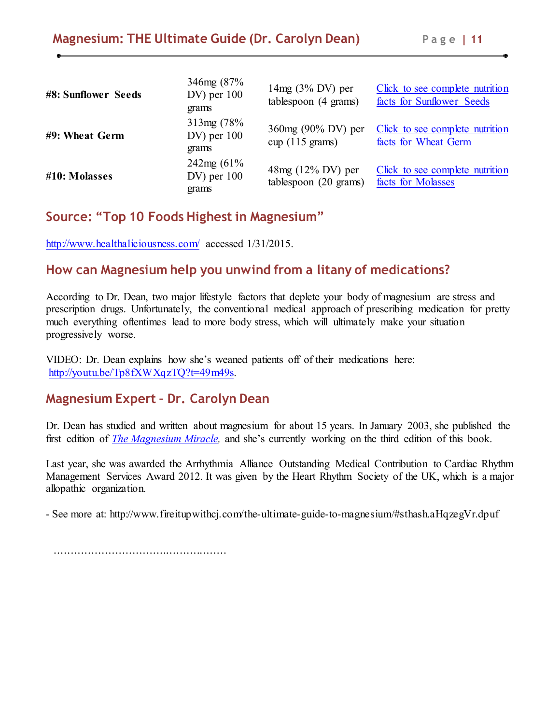| #8: Sunflower Seeds | 346mg (87%<br>$DV$ ) per $100$<br>grams   | $14mg (3\% DV)$ per<br>tablespoon (4 grams)     | Click to see complete nutrition<br>facts for Sunflower Seeds |
|---------------------|-------------------------------------------|-------------------------------------------------|--------------------------------------------------------------|
| #9: Wheat Germ      | 313mg (78%<br>$DV$ ) per $100$<br>grams   | 360mg (90% DV) per<br>$cup (115 \text{ grams})$ | Click to see complete nutrition<br>facts for Wheat Germ      |
| #10: Molasses       | $242mg(61\%$<br>$DV$ ) per $100$<br>grams | 48mg (12% DV) per<br>tablespoon (20 grams)      | Click to see complete nutrition<br>facts for Molasses        |

# **Source: "Top 10 Foods Highest in Magnesium"**

http://www.healthaliciousness.com/ accessed 1/31/2015.

# **How can Magnesium help you unwind from a litany of medications?**

According to Dr. Dean, two major lifestyle factors that deplete your body of magnesium are stress and prescription drugs. Unfortunately, the conventional medical approach of prescribing medication for pretty much everything oftentimes lead to more body stress, which will ultimately make your situation progressively worse.

VIDEO: Dr. Dean explains how she's weaned patients off of their medications here: http://youtu.be/Tp8fXWXqzTQ?t=49m49s.

## **Magnesium Expert – Dr. Carolyn Dean**

Dr. Dean has studied and written about magnesium for about 15 years. In January 2003, she published the first edition of *The Magnesium Miracle,* and she's currently working on the third edition of this book.

Last year, she was awarded the Arrhythmia Alliance Outstanding Medical Contribution to Cardiac Rhythm Management Services Award 2012. It was given by the Heart Rhythm Society of the UK, which is a major allopathic organization.

- See more at: http://www.fireitupwithcj.com/the-ultimate-guide-to-magnesium/#sthash.aHqzegVr.dpuf

...................................................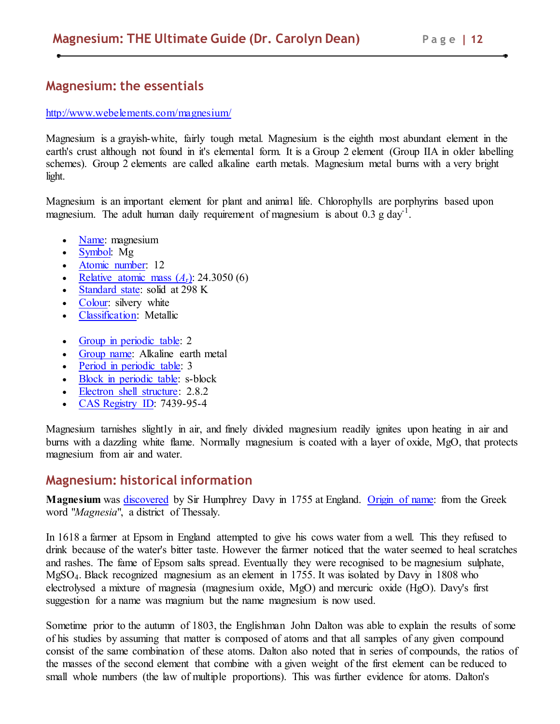## **Magnesium: the essentials**

#### http://www.webelements.com/magnesium/

Magnesium is a grayish-white, fairly tough metal. Magnesium is the eighth most abundant element in the earth's crust although not found in it's elemental form. It is a Group 2 element (Group IIA in older labelling schemes). Group 2 elements are called alkaline earth metals. Magnesium metal burns with a very bright light.

Magnesium is an important element for plant and animal life. Chlorophylls are porphyrins based upon magnesium. The adult human daily requirement of magnesium is about  $0.3$  g day<sup>-1</sup>.

- Name: magnesium
- Symbol: Mg
- Atomic number: 12
- **Relative atomic mass**  $(A_r)$ : 24.3050 (6)
- Standard state: solid at 298 K
- Colour: silvery white
- Classification: Metallic
- Group in periodic table: 2
- Group name: Alkaline earth metal
- Period in periodic table: 3
- Block in periodic table: s-block
- Electron shell structure: 2.8.2
- CAS Registry ID: 7439-95-4

Magnesium tarnishes slightly in air, and finely divided magnesium readily ignites upon heating in air and burns with a dazzling white flame. Normally magnesium is coated with a layer of oxide, MgO, that protects magnesium from air and water.

#### **Magnesium: historical information**

**Magnesium** was discovered by Sir Humphrey Davy in 1755 at England. Origin of name: from the Greek word "*Magnesia*", a district of Thessaly.

In 1618 a farmer at Epsom in England attempted to give his cows water from a well. This they refused to drink because of the water's bitter taste. However the farmer noticed that the water seemed to heal scratches and rashes. The fame of Epsom salts spread. Eventually they were recognised to be magnesium sulphate, MgSO4. Black recognized magnesium as an element in 1755. It was isolated by Davy in 1808 who electrolysed a mixture of magnesia (magnesium oxide, MgO) and mercuric oxide (HgO). Davy's first suggestion for a name was magnium but the name magnesium is now used.

Sometime prior to the autumn of 1803, the Englishman John Dalton was able to explain the results of some of his studies by assuming that matter is composed of atoms and that all samples of any given compound consist of the same combination of these atoms. Dalton also noted that in series of compounds, the ratios of the masses of the second element that combine with a given weight of the first element can be reduced to small whole numbers (the law of multiple proportions). This was further evidence for atoms. Dalton's